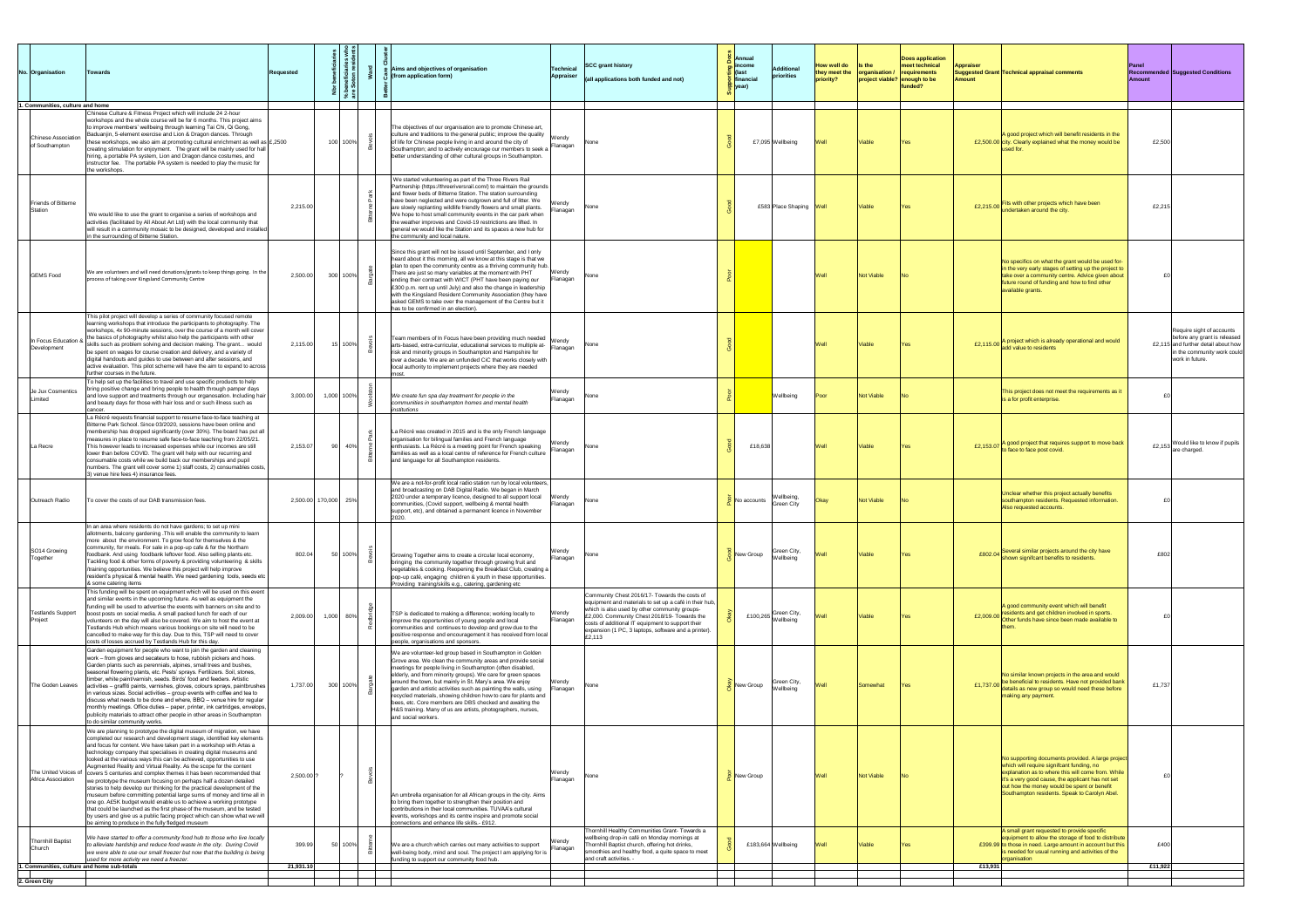| No. Organisation<br>1. Communities, culture and home                       | <b>Towards</b>                                                                                                                                                                                                                                                                                                                                                                                                                                                                                                                                                                                                                                                                                                                                                                                                                                                                                                                                                                                                                                       | <b>Requested</b>     | ہ م          | Aims and objectives of organisation<br>(from application form)                                                                                                                                                                                                                                                                                                                                                                                                                                                                                                                                               | <b>Technical</b><br><b>Appraiser</b> | <b>SCC grant history</b><br>$\vert$ (all applications both funded and not)                                                                                                                                                                                                                                                      | $\frac{8}{9}$   Annual<br>$\frac{2}{5}$ income<br>Additional<br>$\vert$ (last<br>priorities<br>$\frac{1}{2}$ financial<br><mark>즉</mark>  year) | How well do<br>they meet the<br>priority? | $\blacksquare$ Is the<br>$\sqrt{or}$ organisation / $\sqrt{or}$ requirements<br>project viable? enough to be | <b>Does application</b><br>meet technical<br>funded? | <b>Appraiser</b><br>Amount | Suggested Grant Technical appraisal comments                                                                                                                                                                                                                                                              | <b>Panel</b><br><b>Recommended Suggested Conditions</b><br><b>Amount</b>                                                                           |
|----------------------------------------------------------------------------|------------------------------------------------------------------------------------------------------------------------------------------------------------------------------------------------------------------------------------------------------------------------------------------------------------------------------------------------------------------------------------------------------------------------------------------------------------------------------------------------------------------------------------------------------------------------------------------------------------------------------------------------------------------------------------------------------------------------------------------------------------------------------------------------------------------------------------------------------------------------------------------------------------------------------------------------------------------------------------------------------------------------------------------------------|----------------------|--------------|--------------------------------------------------------------------------------------------------------------------------------------------------------------------------------------------------------------------------------------------------------------------------------------------------------------------------------------------------------------------------------------------------------------------------------------------------------------------------------------------------------------------------------------------------------------------------------------------------------------|--------------------------------------|---------------------------------------------------------------------------------------------------------------------------------------------------------------------------------------------------------------------------------------------------------------------------------------------------------------------------------|-------------------------------------------------------------------------------------------------------------------------------------------------|-------------------------------------------|--------------------------------------------------------------------------------------------------------------|------------------------------------------------------|----------------------------|-----------------------------------------------------------------------------------------------------------------------------------------------------------------------------------------------------------------------------------------------------------------------------------------------------------|----------------------------------------------------------------------------------------------------------------------------------------------------|
| Chinese Association<br>of Southampton                                      | Chinese Culture & Fitness Project which will include 24 2-hour<br>workshops and the whole course will be for 6 months. This project aims<br>to improve members' wellbeing through learning Tai Chi, Qi Gong,<br>Baduanjin, 5-element exercise and Lion & Dragon dances. Through<br>these workshops, we also aim at promoting cultural enrichment as well as $\mathcal{E}$ , 2500<br>creating stimulation for enjoyment. The grant will be mainly used for hall<br>hiring, a portable PA system, Lion and Dragon dance costumes, and<br>instructor fee. The portable PA system is needed to play the music for<br>the workshops.                                                                                                                                                                                                                                                                                                                                                                                                                      |                      | 100 100%     | The objectives of our organisation are to promote Chinese art,<br>culture and traditions to the general public; improve the quality<br>of life for Chinese people living in and around the city of<br>Southampton; and to actively encourage our members to seek a<br>better understanding of other cultural groups in Southampton.                                                                                                                                                                                                                                                                          | Wendy<br>Flanagan                    | l None                                                                                                                                                                                                                                                                                                                          | £7,095 Wellbeing                                                                                                                                | Well                                      | Viable                                                                                                       |                                                      |                            | A good project which will benefit residents in the<br>£2,500.00 city. Clearly explained what the money would be                                                                                                                                                                                           | £2,500                                                                                                                                             |
| Friends of Bitterne<br>Station                                             | We would like to use the grant to organise a series of workshops and<br>activities (facilitated by All About Art Ltd) with the local community that<br>will result in a community mosaic to be designed, developed and installed<br>in the surrounding of Bitterne Station.                                                                                                                                                                                                                                                                                                                                                                                                                                                                                                                                                                                                                                                                                                                                                                          | 2,215.00             |              | We started volunteering as part of the Three Rivers Rail<br>Partnership (https://threeriversrail.com/) to maintain the grounds<br>and flower beds of Bitterne Station. The station surrounding<br>have been neglected and were outgrown and full of litter. We<br>are slowly replanting wildlife friendly flowers and small plants.<br>We hope to host small community events in the car park when<br>the weather improves and Covid-19 restrictions are lifted. In<br>general we would like the Station and its spaces a new hub for<br>the community and local nature.                                     | Wendy<br>Flanagan                    | lNone                                                                                                                                                                                                                                                                                                                           | £583 Place Shaping Well                                                                                                                         |                                           | <b>Viable</b>                                                                                                | IYes.                                                | £2,215.00                  | Fits with other projects which have been<br>undertaken around the city.                                                                                                                                                                                                                                   | £2,215                                                                                                                                             |
| <b>GEMS</b> Food                                                           | We are volunteers and will need donations/grants to keep things going. In the<br>process of taking over Kingsland Community Centre                                                                                                                                                                                                                                                                                                                                                                                                                                                                                                                                                                                                                                                                                                                                                                                                                                                                                                                   | 2,500.00             | $300 100\% $ | Since this grant will not be issued until September, and I only<br>heard about it this morning, all we know at this stage is that we<br>plan to open the community centre as a thriving community hub.<br>There are just so many variables at the moment with PHT<br>ending their contract with WICT (PHT have been paying our<br>E300 p.m. rent up until July) and also the change in leadership<br>with the Kingsland Resident Community Association (they have<br>asked GEMS to take over the management of the Centre but it<br>has to be confirmed in an election).                                     | Wendy<br>Flanagan                    | INone i                                                                                                                                                                                                                                                                                                                         |                                                                                                                                                 |                                           | Not Viable                                                                                                   |                                                      |                            | No specifics on what the grant would be used for-<br>in the very early stages of setting up the project to<br>take over a community centre. Advice given about<br>future round of funding and how to find other<br>available grants.                                                                      |                                                                                                                                                    |
| In Focus Education &<br>Development                                        | This pilot project will develop a series of community focused remote<br>learning workshops that introduce the participants to photography. The<br>workshops, 4x 90-minute sessions, over the course of a month will cover<br>the basics of photography whilst also help the participants with other<br>skills such as problem solving and decision making. The grant would<br>be spent on wages for course creation and delivery, and a variety of<br>digital handouts and guides to use between and after sessions, and<br>active evaluation. This pilot scheme will have the aim to expand to across<br>further courses in the future.                                                                                                                                                                                                                                                                                                                                                                                                             | 2,115.00             | 15 100%      | Team members of In Focus have been providing much needed   Wendy<br>arts-based, extra-curricular, educational services to multiple at-<br>risk and minority groups in Southampton and Hampshire for<br>over a decade. We are an unfunded CiC that works closely with<br>local authority to implement projects where they are needed                                                                                                                                                                                                                                                                          | Flanagan                             | lNone                                                                                                                                                                                                                                                                                                                           |                                                                                                                                                 | Well                                      | Viable                                                                                                       |                                                      |                            | £2,115.00 A project which is already operational and would<br>add value to residents                                                                                                                                                                                                                      | Require sight of accounts<br>before any grant is released<br>£2,115 and further detail about how<br>in the community work could<br>work in future. |
| Je Jux Cosmentics<br>Limited                                               | To help set up the facilities to travel and use specific products to help<br>bring positive change and bring people to health through pamper days<br>and love support and treatments through our organosation. Including hair<br>and beauty days for those with hair loss and or such illness such as                                                                                                                                                                                                                                                                                                                                                                                                                                                                                                                                                                                                                                                                                                                                                | 3,000.00             | 1,000 100%   | We create fun spa day treatment for people in the<br>communities in southampton homes and mental health<br>institutions                                                                                                                                                                                                                                                                                                                                                                                                                                                                                      | Wendy<br>Flanagan                    | l None                                                                                                                                                                                                                                                                                                                          | Wellbeing                                                                                                                                       | Poor                                      | Not Viable                                                                                                   |                                                      |                            | This project does not meet the requirements as it<br>is a for profit enterprise.                                                                                                                                                                                                                          |                                                                                                                                                    |
| La Recre                                                                   | La Récré requests financial support to resume face-to-face teaching at<br>Bitterne Park School. Since 03/2020, sessions have been online and<br>membership has dropped significantly (over 30%). The board has put all<br>measures in place to resume safe face-to-face teaching from 22/05/21.<br>This however leads to increased expenses while our incomes are still<br>lower than before COVID. The grant will help with our recurring and<br>consumable costs while we build back our memberships and pupil<br>numbers. The grant will cover some 1) staff costs, 2) consumables costs,<br>3) venue hire fees 4) insurance fees.                                                                                                                                                                                                                                                                                                                                                                                                                | 2,153.07             | 40%<br>90    | La Récré was created in 2015 and is the only French language<br>organisation for bilingual families and French language<br>enthusiasts. La Récré is a meeting point for French speaking<br>families as well as a local centre of reference for French culture<br>and language for all Southampton residents.                                                                                                                                                                                                                                                                                                 | Wendy<br>Flanagan                    | l None                                                                                                                                                                                                                                                                                                                          | £18,638                                                                                                                                         |                                           | Viable                                                                                                       |                                                      | £2,153.07 $\frac{1}{2}$    | A good project that requires support to move back<br>o face to face post covid.                                                                                                                                                                                                                           | Would like to know if pupils<br>£2,153<br>are charged.                                                                                             |
| Outreach Radio                                                             | To cover the costs of our DAB transmission fees.                                                                                                                                                                                                                                                                                                                                                                                                                                                                                                                                                                                                                                                                                                                                                                                                                                                                                                                                                                                                     | 2,500.00 170,000 25% |              | We are a not-for-profit local radio station run by local volunteers,<br>and broadcasting on DAB Digital Radio. We began in March<br>$ 2020$ under a temporary licence, designed to all support local $ $ Wendy<br>communities, (Covid support, wellbeing & mental health<br>support, etc), and obtained a permanent licence in November                                                                                                                                                                                                                                                                      | Flanagan                             | l None                                                                                                                                                                                                                                                                                                                          | Wellbeing,<br>No accounts<br>Green City                                                                                                         | lOkav                                     | Not Viable                                                                                                   |                                                      |                            | Unclear whether this project actually benefits<br>southampton residents. Requested information.<br>Also requested accounts.                                                                                                                                                                               |                                                                                                                                                    |
| SO14 Growing<br>Together                                                   | In an area where residents do not have gardens; to set up mini<br>allotments, balcony gardening . This will enable the community to learn<br>more about the environment. To grow food for themselves & the<br>community, for meals. For sale in a pop-up cafe & for the Northam<br>foodbank. And using foodbank leftover food. Also selling plants etc.<br>Tackling food & other forms of poverty & providing volunteering & skills<br>/training opportunities. We believe this project will help improve<br>resident's physical & mental health. We need gardening tools, seeds etc<br>& some catering items                                                                                                                                                                                                                                                                                                                                                                                                                                        | 802.04               | 이 100%       | Growing Together aims to create a circular local economy,<br>bringing the community together through growing fruit and<br>vegetables & cooking. Reopening the Breakfast Club, creating a<br>pop-up café, engaging children & youth in these opportunities.<br>Providing training/skills e.g., catering, gardening etc                                                                                                                                                                                                                                                                                        | Wendy<br>Flanagan                    | l None                                                                                                                                                                                                                                                                                                                          | Green City,<br>New Group<br>Wellbeing                                                                                                           | Well                                      | Viable                                                                                                       |                                                      |                            | E802.04 Several similar projects around the city have<br>shown signifcant benefits to residents.                                                                                                                                                                                                          | £802                                                                                                                                               |
| <b>Testlands Support</b><br>Project                                        | This funding will be spent on equipment which will be used on this event<br>and similar events in the upcoming future. As well as equipment the<br>funding will be used to advertise the events with banners on site and to<br>boost posts on social media. A small packed lunch for each of our<br>volunteers on the day will also be covered. We aim to host the event at<br>Testlands Hub which means various bookings on site will need to be<br>cancelled to make way for this day. Due to this, TSP will need to cover<br>costs of losses accrued by Testlands Hub for this day.                                                                                                                                                                                                                                                                                                                                                                                                                                                               | 2,009.00             | $1,000$ 80%  | TSP is dedicated to making a difference; working locally to<br>improve the opportunities of young people and local<br>communities and continues to develop and grow due to the<br>positive response and encouragement it has received from local<br>people, organisations and sponsors.                                                                                                                                                                                                                                                                                                                      | Wendy<br>Flanagan                    | Community Chest 2016/17- Towards the costs of<br>equipment and materials to set up a café in their hub,<br>which is also used by other community groups-<br>£2,000. Community Chest 2018/19- Towards the<br>costs of additional IT equipment to support their<br>expansion (1 PC, 3 laptops, software and a printer).<br>£2,113 | £100,265 Green City,<br>Wellbeing                                                                                                               | Well                                      | Viable                                                                                                       |                                                      | £2,009.00                  | A good community event which will benefit<br>residents and get children involved in sports.<br>Other funds have since been made available to                                                                                                                                                              |                                                                                                                                                    |
| The Goden Leaves                                                           | Garden equipment for people who want to join the garden and cleaning<br>work – from gloves and secateurs to hose, rubbish pickers and hoes.<br>Garden plants such as perennials, alpines, small trees and bushes,<br>seasonal flowering plants, etc. Pests' sprays. Fertilizers. Soil, stones,<br>timber, white paint/varnish, seeds. Birds' food and feeders. Artistic<br>activities – graffiti paints, varnishes, gloves, colours sprays, paintbrushes<br>in various sizes. Social activities – group events with coffee and tea to<br>discuss what needs to be done and where, BBQ - venue hire for regular<br>monthly meetings. Office duties – paper, printer, ink cartridges, envelops,<br>publicity materials to attract other people in other areas in Southampton<br>to do similar community works.                                                                                                                                                                                                                                         | 1,737.00             | 300 100%     | We are volunteer-led group based in Southampton in Golden<br>Grove area. We clean the community areas and provide social<br>meetings for people living in Southampton (often disabled,<br>elderly, and from minority groups). We care for green spaces<br>around the town, but mainly in St. Mary's area. We enjoy<br>garden and artistic activities such as painting the walls, using<br>recycled materials, showing children how to care for plants and<br>bees, etc. Core members are DBS checked and awaiting the<br>H&S training. Many of us are artists, photographers, nurses,<br>and social workers. | Wendy<br>Flanagan                    | None                                                                                                                                                                                                                                                                                                                            | Green City,<br>New Group<br>Wellbeing                                                                                                           | <b>Well</b>                               | Somewhat                                                                                                     |                                                      |                            | No similar known projects in the area and would<br>E1,737.00 be beneficial to residents. Have not provided bank<br>details as new group so would need these before<br>making any payment.                                                                                                                 | £1,737                                                                                                                                             |
| Africa Association                                                         | We are planning to prototype the digital museum of migration, we have<br>completed our research and development stage, identified key elements<br>and focus for content. We have taken part in a workshop with Artas a<br>technology company that specialises in creating digital museums and<br>looked at the various ways this can be achieved, opportunities to use<br>Augmented Reality and Virtual Reality. As the scope for the content<br>The United Voices of covers 5 centuries and complex themes it has been recommended that<br>we prototype the museum focusing on perhaps half a dozen detailed<br>stories to help develop our thinking for the practical development of the<br>museum before committing potential large sums of money and time all in<br>one go. A£5K budget would enable us to achieve a working prototype<br>that could be launched as the first phase of the museum, and be tested<br>by users and give us a public facing project which can show what we will<br>be aiming to produce in the fully fledged museum | $2,500.00$ ?         |              | An umbrella organisation for all African groups in the city. Aims<br>to bring them together to strengthen their position and<br>contributions in their local communities. TUVAA's cultural<br>events, workshops and its centre inspire and promote social<br>connections and enhance life skills.- £912.                                                                                                                                                                                                                                                                                                     | Wendy<br>Flanagan                    | None                                                                                                                                                                                                                                                                                                                            | New Group                                                                                                                                       | Well                                      | Not Viable                                                                                                   |                                                      |                            | No supporting documents provided. A large project<br>which will require signifcant funding, no<br>explanation as to where this will come from. While<br>it's a very good cause, the applicant has not set<br>out how the money would be spent or benefit<br>Southampton residents. Speak to Carolyn Abel. |                                                                                                                                                    |
| Thornhill Baptist<br> Church<br>. Communities, culture and home sub-totals | We have started to offer a community food hub to those who live locally<br>to alleviate hardship and reduce food waste in the city. During Covid<br>$\vert$ we were able to use our small freezer but now that the building is being<br>used for more activity we need a freezer.                                                                                                                                                                                                                                                                                                                                                                                                                                                                                                                                                                                                                                                                                                                                                                    | 399.99<br>21,931.10  | 50 100%      | We are a church which carries out many activities to support<br>well-being body, mind and soul. The project I am applying for is<br>funding to support our community food hub.                                                                                                                                                                                                                                                                                                                                                                                                                               | Flanagan                             | Thornhill Healthy Communities Grant- Towards a<br>wellbeing drop-in café on Monday mornings at<br>Thornhill Baptist church, offering hot drinks,<br>smoothies and healthy food, a quite space to meet<br>and craft activities. -                                                                                                | £183,664 Wellbeing                                                                                                                              | <b>Well</b>                               | <b>Jiable</b>                                                                                                |                                                      | £13,931                    | A small grant requested to provide specific<br>equipment to allow the storage of food to distribute<br>£399.99 to those in need. Large amount in account but this<br>is needed for usual running and activities of the<br>organisation                                                                    | £400<br>£11,922                                                                                                                                    |
| 2. Green City                                                              |                                                                                                                                                                                                                                                                                                                                                                                                                                                                                                                                                                                                                                                                                                                                                                                                                                                                                                                                                                                                                                                      |                      |              |                                                                                                                                                                                                                                                                                                                                                                                                                                                                                                                                                                                                              |                                      |                                                                                                                                                                                                                                                                                                                                 |                                                                                                                                                 |                                           |                                                                                                              |                                                      |                            |                                                                                                                                                                                                                                                                                                           |                                                                                                                                                    |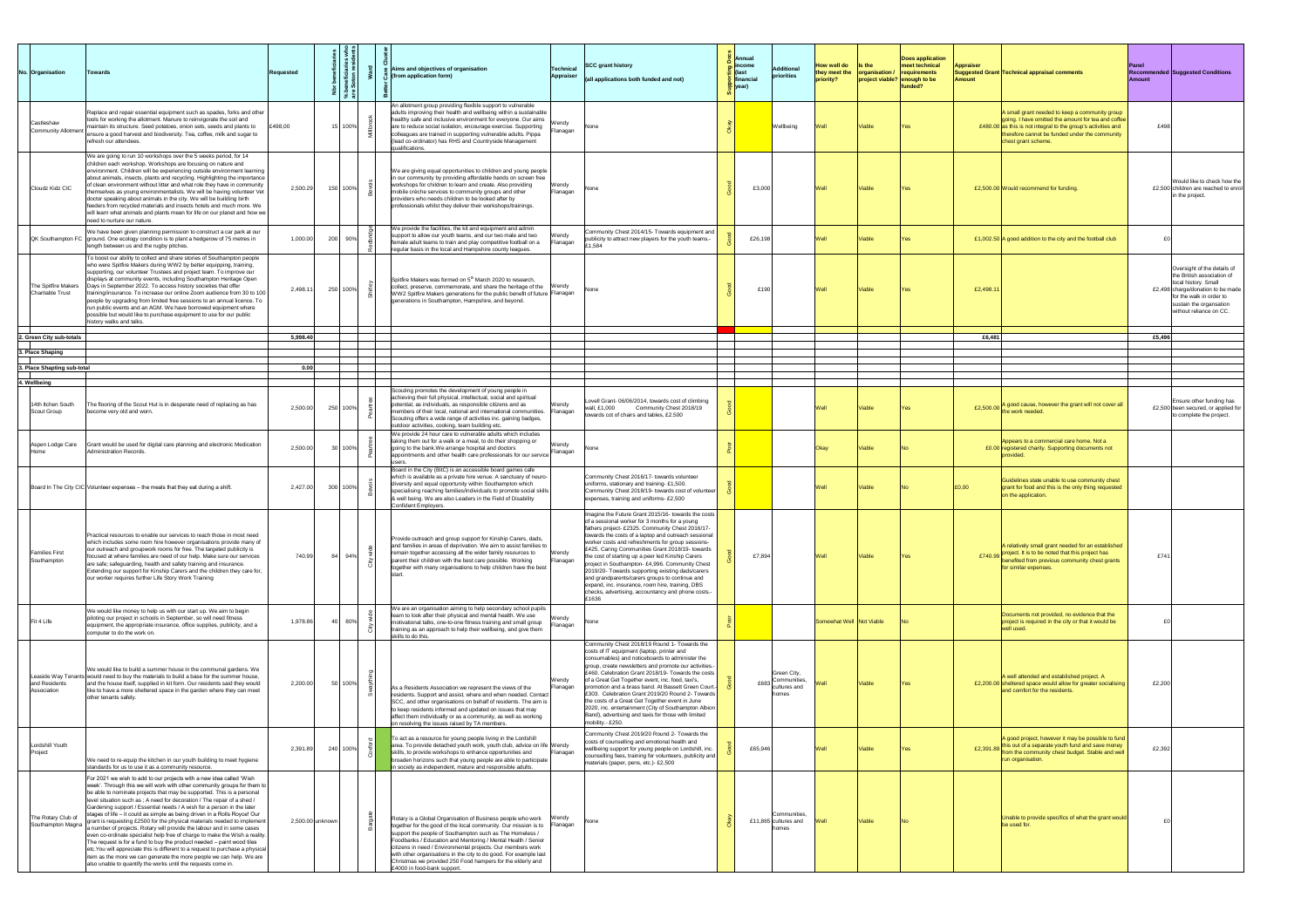| No. Organisation                                 | <b>Towards</b>                                                                                                                                                                                                                                                                                                                                                                                                                                                                                                                                                                                                                                                                                                                                                                                                                                                                                                                                                                                           | <b>Requested</b> |          | <b>Aims and objectives of organisation</b><br>(from application form)                                                                                                                                                                                                                                                                                                                                                                                                                       | Technical<br><b>Appraiser</b> | <b>SCC grant history</b><br>$\vert$ (all applications both funded and not)                                                                                                                                                                                                                                                                                                                                                                                                                                                                                                                                                                                  | $\frac{8}{9}$ Annual<br>$\frac{1}{5}$ income<br>$\vert$ (last<br>S financial<br><mark>ੂ</mark>  year) | Additiona<br>priorities                                            | <b>How well do</b><br>they meet the<br>priority? | $\blacksquare$ Is the<br><b>organisation / requirements</b><br>$ $ project viable? $ $ enough to be | <b>Does application</b><br>$ $ meet technical<br>funded? | <b>Appraiser</b><br><b>Amount</b> | Suggested Grant Technical appraisal comments                                                                                                                                                                                                       | Panel<br><b>Recommended Suggested Conditions</b><br><b>Amount</b>                                                                                                                                        |
|--------------------------------------------------|----------------------------------------------------------------------------------------------------------------------------------------------------------------------------------------------------------------------------------------------------------------------------------------------------------------------------------------------------------------------------------------------------------------------------------------------------------------------------------------------------------------------------------------------------------------------------------------------------------------------------------------------------------------------------------------------------------------------------------------------------------------------------------------------------------------------------------------------------------------------------------------------------------------------------------------------------------------------------------------------------------|------------------|----------|---------------------------------------------------------------------------------------------------------------------------------------------------------------------------------------------------------------------------------------------------------------------------------------------------------------------------------------------------------------------------------------------------------------------------------------------------------------------------------------------|-------------------------------|-------------------------------------------------------------------------------------------------------------------------------------------------------------------------------------------------------------------------------------------------------------------------------------------------------------------------------------------------------------------------------------------------------------------------------------------------------------------------------------------------------------------------------------------------------------------------------------------------------------------------------------------------------------|-------------------------------------------------------------------------------------------------------|--------------------------------------------------------------------|--------------------------------------------------|-----------------------------------------------------------------------------------------------------|----------------------------------------------------------|-----------------------------------|----------------------------------------------------------------------------------------------------------------------------------------------------------------------------------------------------------------------------------------------------|----------------------------------------------------------------------------------------------------------------------------------------------------------------------------------------------------------|
| Castleshaw<br>Community Allotment                | Replace and repair essential equipment such as spades, forks and other<br>tools for working the allotment. Manure to reinvigorate the soil and<br>maintain its structure. Seed potatoes, onion sets, seeds and plants to<br>ensure a good harvest and biodiversity. Tea, coffee, milk and sugar to<br>refresh our attendees.                                                                                                                                                                                                                                                                                                                                                                                                                                                                                                                                                                                                                                                                             | £498,00          | 15 100%  | An allotment group providing flexible support to vulnerable<br>adults improving their health and wellbeing within a sustainable<br>healthy safe and inclusive environment for everyone. Our aims<br>are to reduce social isolation, encourage exercise. Supporting<br>colleagues are trained in supporting vulnerable adults. Pippa<br>(lead co-ordinator) has RHS and Countryside Management<br>qualifications.                                                                            | Wendy<br>Flanagan             | INone                                                                                                                                                                                                                                                                                                                                                                                                                                                                                                                                                                                                                                                       |                                                                                                       | Wellbeing                                                          |                                                  | Viable                                                                                              |                                                          |                                   | A small grant needed to keep a community group<br> going. I have omitted the amount for tea and coffee  <br>£480.00 as this is not integral to the group's activities and<br>therefore cannot be funded under the community<br>chest grant scheme. | £498                                                                                                                                                                                                     |
| Cloudz Kidz CIC                                  | We are going to run 10 workshops over the 5 weeks period, for 14<br>children each workshop. Workshops are focusing on nature and<br>environment. Children will be experiencing outside environment learning<br>about animals, insects, plants and recycling. Highlighting the importance<br>of clean environment without litter and what role they have in community<br>themselves as young environmentalists. We will be having volunteer Vet<br>doctor speaking about animals in the city. We will be building birth<br>feeders from recycled materials and insects hotels and much more. We<br>will learn what animals and plants mean for life on our planet and how we<br>Ineed to nurture our nature.                                                                                                                                                                                                                                                                                              | 2,500.29         | 150 100% | We are giving equal opportunities to children and young people<br> in our community by providing affordable hands on screen free<br>workshops for children to learn and create. Also providing<br>mobile crèche services to community groups and other<br>providers who needs children to be looked after by<br>professionals whilst they deliver their workshops/trainings.                                                                                                                | Wendy<br>Flanagan             | None                                                                                                                                                                                                                                                                                                                                                                                                                                                                                                                                                                                                                                                        | £3,000                                                                                                |                                                                    |                                                  | Viable                                                                                              |                                                          |                                   | £2,500.00 Would recommend for funding.                                                                                                                                                                                                             | Would like to check how the<br>£2,500 children are reached to enrol<br>in the project.                                                                                                                   |
|                                                  | We have been given planning permission to construct a car park at our<br>$\alpha$ QK Southampton FC $\beta$ ground. One ecology condition is to plant a hedgerow of 75 metres in<br>length between us and the rugby pitches.                                                                                                                                                                                                                                                                                                                                                                                                                                                                                                                                                                                                                                                                                                                                                                             | 1,000.00         | 200 90%  | We provide the facilities, the kit and equipment and admin<br>support to allow our youth teams, and our two male and two<br>female adult teams to train and play competitive football on a                                                                                                                                                                                                                                                                                                  | Wendy<br>Flanagan             | Community Chest 2014/15- Towards equipment and<br>publicity to attract new players for the youth teams.-<br>1,584                                                                                                                                                                                                                                                                                                                                                                                                                                                                                                                                           | £26,198                                                                                               |                                                                    |                                                  | Viable                                                                                              |                                                          |                                   | £1,002.50 A good addition to the city and the football club                                                                                                                                                                                        |                                                                                                                                                                                                          |
| The Spitfire Makers<br>Charitable Trust          | To boost our ability to collect and share stories of Southampton people<br>who were Spitfire Makers during WW2 by better equipping, training,<br>supporting, our volunteer Trustees and project team. To improve our<br>displays at community events, including Southampton Heritage Open<br>Days in September 2022. To access history societies that offer<br>training/insurance. To increase our online Zoom audience from 30 to 100<br>people by upgrading from limited free sessions to an annual licence. To<br>run public events and an AGM. We have borrowed equipment where<br>possible but would like to purchase equipment to use for our public<br>history walks and talks.                                                                                                                                                                                                                                                                                                                   | 2,498.11         | 250 100% | regular basis in the local and Hampshire county leagues.<br>Spitfire Makers was formed on 5 <sup>th</sup> March 2020 to research,<br>collect, preserve, commemorate, and share the heritage of the Wendy<br>WW2 Spitfire Makers generations for the public benefit of future Flanagan<br>generations in Southampton, Hampshire, and beyond.                                                                                                                                                 |                               | None                                                                                                                                                                                                                                                                                                                                                                                                                                                                                                                                                                                                                                                        | £190                                                                                                  |                                                                    |                                                  | Viable                                                                                              | IYes.                                                    | £2,498.11                         |                                                                                                                                                                                                                                                    | Oversight of the details of<br>the British association of<br>local history. Small<br>£2,498 charge/donation to be made<br>for the walk in order to<br>sustain the organsation<br>without reliance on CC. |
| 2. Green City sub-totals                         |                                                                                                                                                                                                                                                                                                                                                                                                                                                                                                                                                                                                                                                                                                                                                                                                                                                                                                                                                                                                          | 5.998.40         |          |                                                                                                                                                                                                                                                                                                                                                                                                                                                                                             |                               |                                                                                                                                                                                                                                                                                                                                                                                                                                                                                                                                                                                                                                                             |                                                                                                       |                                                                    |                                                  |                                                                                                     |                                                          | £6.481                            |                                                                                                                                                                                                                                                    | £5,496                                                                                                                                                                                                   |
| 3. Place Shaping                                 |                                                                                                                                                                                                                                                                                                                                                                                                                                                                                                                                                                                                                                                                                                                                                                                                                                                                                                                                                                                                          |                  |          |                                                                                                                                                                                                                                                                                                                                                                                                                                                                                             |                               |                                                                                                                                                                                                                                                                                                                                                                                                                                                                                                                                                                                                                                                             |                                                                                                       |                                                                    |                                                  |                                                                                                     |                                                          |                                   |                                                                                                                                                                                                                                                    |                                                                                                                                                                                                          |
| . Place Shapting sub-total                       |                                                                                                                                                                                                                                                                                                                                                                                                                                                                                                                                                                                                                                                                                                                                                                                                                                                                                                                                                                                                          | 0.00             |          |                                                                                                                                                                                                                                                                                                                                                                                                                                                                                             |                               |                                                                                                                                                                                                                                                                                                                                                                                                                                                                                                                                                                                                                                                             |                                                                                                       |                                                                    |                                                  |                                                                                                     |                                                          |                                   |                                                                                                                                                                                                                                                    |                                                                                                                                                                                                          |
| 4. Wellbeing<br>14th Itchen South<br>Scout Group | The flooring of the Scout Hut is in desperate need of replacing as has<br>become very old and worn.                                                                                                                                                                                                                                                                                                                                                                                                                                                                                                                                                                                                                                                                                                                                                                                                                                                                                                      | 2,500.00         | 250 100% | Scouting promotes the development of young people in<br>achieving their full physical, intellectual, social and spiritual<br>potential, as individuals, as responsible citizens and as<br>members of their local, national and international communities.<br>Scouting offers a wide range of activities inc. gaining badges,<br>outdoor activities, cooking, team building etc.                                                                                                             | Wendy<br>Flanagan             | Lovell Grant-06/06/2014, towards cost of climbing<br>Community Chest 2018/19<br> wall, £1,000<br>towards cot of chairs and tables, £2.500                                                                                                                                                                                                                                                                                                                                                                                                                                                                                                                   |                                                                                                       |                                                                    |                                                  | Viable                                                                                              | IYes.                                                    |                                   | E2,500.00 A good cause, however the grant will not cover all<br>the work needed.                                                                                                                                                                   | <b>Ensure other funding has</b><br>£2,500 been secured, or applied for<br>to complete the project.                                                                                                       |
| Aspen Lodge Care                                 | Grant would be used for digital care planning and electronic Medication<br>Administration Records.                                                                                                                                                                                                                                                                                                                                                                                                                                                                                                                                                                                                                                                                                                                                                                                                                                                                                                       | 2,500.00         | 30 100%  | We provide 24 hour care to vulnerable adults which includes<br>taking them out for a walk or a meal, to do their shopping or<br>going to the bank. We arrange hospital and doctors<br>appointments and other health care professionals for our service                                                                                                                                                                                                                                      | Wendy<br>Flanagan             | None                                                                                                                                                                                                                                                                                                                                                                                                                                                                                                                                                                                                                                                        |                                                                                                       |                                                                    | <b>IOkav</b>                                     | Viable                                                                                              |                                                          |                                   | Appears to a commercial care home. Not a<br>£0.00 registered charity. Supporting documents not                                                                                                                                                     |                                                                                                                                                                                                          |
|                                                  | Board In The City CIC Volunteer expenses – the meals that they eat during a shift.                                                                                                                                                                                                                                                                                                                                                                                                                                                                                                                                                                                                                                                                                                                                                                                                                                                                                                                       | 2,427.00         | 300 100% | Board in the City (BitC) is an accessible board games cafe<br>which is available as a private hire venue. A sanctuary of neuro-<br>diversity and equal opportunity within Southampton which<br>specialising reaching families/individuals to promote social skills<br>& well being. We are also Leaders in the Field of Disability<br>Confident Employers.                                                                                                                                  |                               | Community Chest 2016/17- towards volunteer<br>uniforms, stationary and training- £1,500.<br>Community Chest 2018/19- towards cost of volunteer<br>expenses, training and uniforms- £2,500                                                                                                                                                                                                                                                                                                                                                                                                                                                                   |                                                                                                       |                                                                    |                                                  | Viable                                                                                              |                                                          | £0.00                             | Guidelines state unable to use community chest<br>grant for food and this is the only thing requested<br>on the application.                                                                                                                       |                                                                                                                                                                                                          |
| <b>Families First</b><br>Southampton             | Practical resources to enable our services to reach those in most need<br>which includes some room hire however organisations provide many of<br>our outreach and groupwork rooms for free. The targeted publicity is<br>focused at where families are need of our help. Make sure our services<br>are safe; safeguarding, health and safety training and insurance.<br>Extending our support for Kinship Carers and the children they care for,<br>our worker requires further Life Story Work Training                                                                                                                                                                                                                                                                                                                                                                                                                                                                                                 | 740.99           | 84 94%   | Provide outreach and group support for Kinship Carers, dads,<br>and families in areas of deprivation. We aim to assist families to<br>remain together accessing all the wider family resources to<br>parent their children with the best care possible. Working<br>together with many organisations to help children have the best                                                                                                                                                          | Wendy<br>Flanagan             | Imagine the Future Grant 2015/16- towards the costs  <br>of a sessional worker for 3 months for a young<br>fathers project- £2325. Community Chest 2016/17-<br>towards the costs of a laptop and outreach sessional<br>worker costs and refreshments for group sessions-<br>£425. Caring Communities Grant 2018/19- towards<br>the cost of starting up a peer led Kinship Carers<br>project in Southampton- £4,996. Community Chest<br>2019/20- Towards supporting existing dads/carers<br>and grandparents/carers groups to continue and<br>expand, inc. insurance, room hire, training, DBS<br>checks, advertising, accountancy and phone costs.-<br>1636 | £7,894                                                                                                |                                                                    |                                                  | <b>Viable</b>                                                                                       |                                                          |                                   | A relatively small grant needed for an established<br>E740.99 project. It is to be noted that this project has<br><b>benefited from previous community chest grants</b><br>for similar expenses.                                                   | £741                                                                                                                                                                                                     |
| Fit 4 Life                                       | We would like money to help us with our start up. We aim to begin<br>piloting our project in schools in September, so will need fitness<br>equipment, the appropriate insurance, office supplies, publicity, and a<br>computer to do the work on.                                                                                                                                                                                                                                                                                                                                                                                                                                                                                                                                                                                                                                                                                                                                                        | 1,978.86         | 80%      | We are an organisation aiming to help secondary school pupils<br>learn to look after their physical and mental health. We use<br>motivational talks, one-to-one fitness training and small group<br>training as an approach to help their wellbeing, and give them<br>skills to do this.                                                                                                                                                                                                    | Wendy<br>Flanagan             | INone.                                                                                                                                                                                                                                                                                                                                                                                                                                                                                                                                                                                                                                                      |                                                                                                       |                                                                    | Somewhat Well Not Viable                         |                                                                                                     |                                                          |                                   | Documents not provided, no evidence that the<br>project is required in the city or that it would be<br>well used.                                                                                                                                  |                                                                                                                                                                                                          |
| and Residents<br>Association                     | We would like to build a summer house in the communal gardens. We<br>Leaside Way Tenants would need to buy the materials to build a base for the summer house,<br>and the house itself, supplied in kit form. Our residents said they would<br>like to have a more sheltered space in the garden where they can meet<br>other tenants safely.                                                                                                                                                                                                                                                                                                                                                                                                                                                                                                                                                                                                                                                            | 2,200.00         | 50 100%  | As a Residents Association we represent the views of the<br>residents. Support and assist, where and when needed. Contact<br>SCC, and other organisations on behalf of residents. The aim is<br>to keep residents informed and updated on issues that may<br>affect them individually or as a community, as well as working<br>on resolving the issues raised by TA members.                                                                                                                | <b>Wendy</b><br>Flanagan      | Community Chest 2018/19 Round 1- Towards the<br>costs of IT equipment (laptop, printer and<br>consumables) and noticeboards to administer the<br>group, create newsletters and promote our activities.-<br>£460. Celebration Grant 2018/19- Towards the costs<br>of a Great Get Together event, inc. food, taxi's,<br>promotion and a brass band. At Bassett Green Court.-<br>E303. Celebration Grant 2019/20 Round 2- Towards<br>the costs of a Great Get Together event in June<br>2020, inc. entertainment (City of Southampton Albion  <br>Band), advertising and taxis for those with limited<br>mobility - £250.                                      |                                                                                                       | Green City,<br>£683 Communities,<br>lcultures and<br><b>Ihomes</b> |                                                  | Viable                                                                                              |                                                          |                                   | A well attended and established project. A<br>£2,200.00 sheltered space would allow for greater socialising<br>and comfort for the residents.                                                                                                      | £2,200                                                                                                                                                                                                   |
| Lordshill Youth<br>Project                       | We need to re-equip the kitchen in our youth building to meet hygiene<br>standards for us to use it as a community resource.                                                                                                                                                                                                                                                                                                                                                                                                                                                                                                                                                                                                                                                                                                                                                                                                                                                                             | 2,391.89         | 240 100% | To act as a resource for young people living in the Lordshill<br>area. To provide detached youth work, youth club, advice on life Wendy<br>skills, to provide workshops to enhance opportunities and<br>broaden horizons such that young people are able to participate<br>in society as independent, mature and responsible adults.                                                                                                                                                        | Flanagan                      | Community Chest 2019/20 Round 2- Towards the<br>costs of counselling and emotional health and<br>wellbeing support for young people on Lordshill, inc.<br>counselling fees, training for volunteers, publicity and  <br>materials (paper, pens, etc.)- £2,500                                                                                                                                                                                                                                                                                                                                                                                               | £65,946                                                                                               |                                                                    |                                                  | Viable                                                                                              |                                                          |                                   | A good project, however it may be possible to fund<br>£2,391.89 this out of a separate youth fund and save money<br>from the community chest budget. Stable and well<br>run organisation.                                                          | £2,392                                                                                                                                                                                                   |
| The Rotary Club of<br>Southampton Magna          | For 2021 we wish to add to our projects with a new idea called 'Wish<br>week'. Through this we will work with other community groups for them to<br>be able to nominate projects that may be supported. This is a personal<br>level situation such as ; A need for decoration / The repair of a shed /<br>Gardening support / Essential needs / A wish for a person in the later<br>stages of life – it could as simple as being driven in a Rolls Royce! Our<br>grant is requesting £2500 for the physical materials needed to implement<br>a number of projects. Rotary will provide the labour and in some cases<br>even co-ordinate specialist help free of charge to make the Wish a reality.<br>The request is for a fund to buy the product needed – paint wood tiles<br>etc. You will appreciate this is different to a request to purchase a physical<br>litem as the more we can generate the more people we can help. We are<br>also unable to quantify the works until the requests come in. | 2,500.00 unknown |          | Rotary is a Global Organisation of Business people who work<br>together for the good of the local community. Our mission is to<br>support the people of Southampton such as The Homeless /<br>Foodbanks / Education and Mentoring / Mental Health / Senior<br>citizens in need / Environmental projects. Our members work<br>with other organisations in the city to do good. For example last<br>Christmas we provided 250 Food hampers for the elderly and<br>£4000 in food-bank support. | Wendy<br>Flanagan             | None                                                                                                                                                                                                                                                                                                                                                                                                                                                                                                                                                                                                                                                        |                                                                                                       | Communities.<br>£11,865 cultures and<br><b>Inomes</b>              |                                                  | <b>Viable</b>                                                                                       |                                                          |                                   | Unable to provide specifics of what the grant would $ $<br>be used for.                                                                                                                                                                            |                                                                                                                                                                                                          |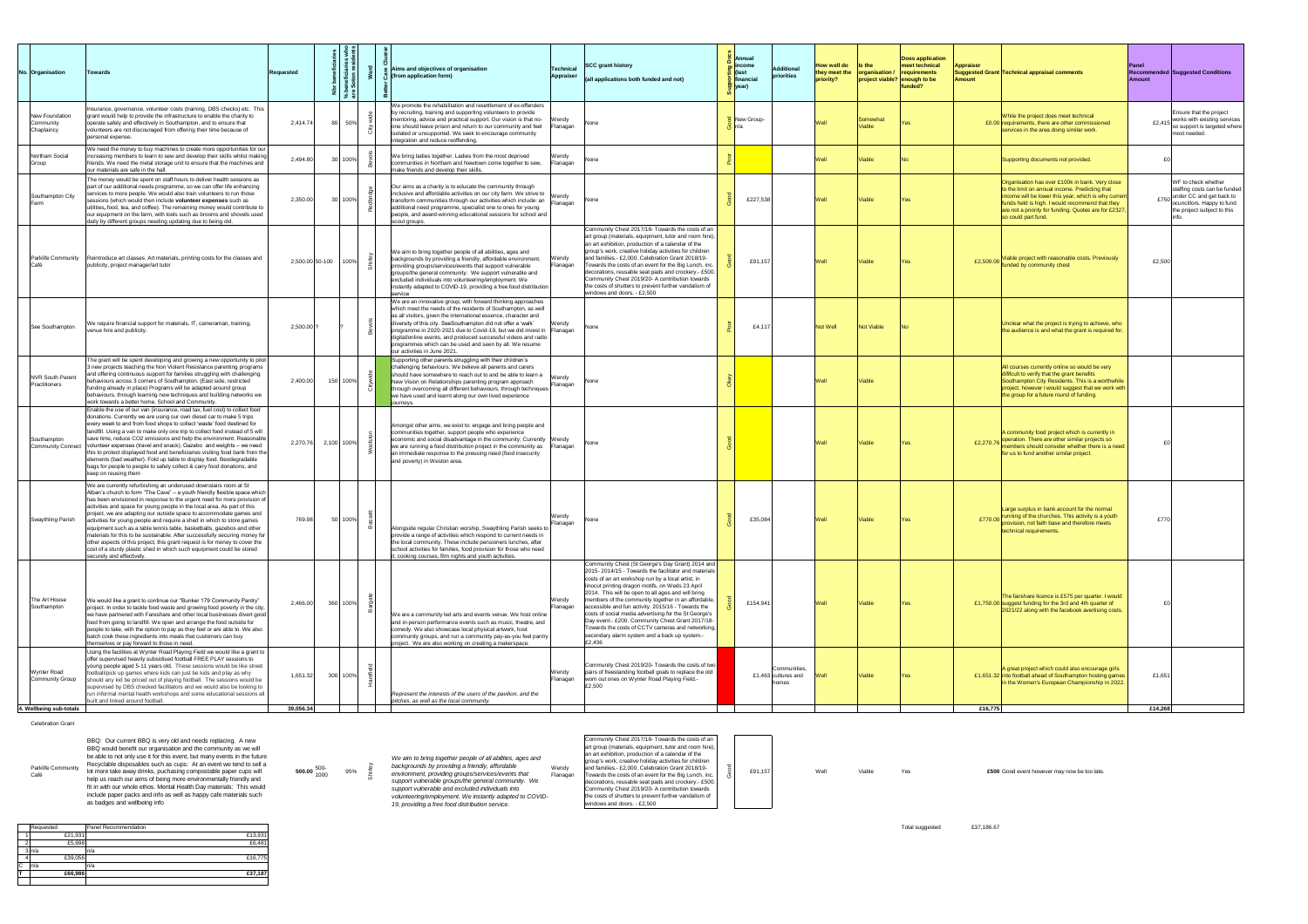| No. Organisation                                          | <b>Towards</b>                                                                                                                                                                                                                                                                                                                                                                                                                                                                                                                                                                                                                                                                                                                                                                                         | <b>Requested</b>      |              |             | Aims and objectives of organisation<br>(from application form)                                                                                                                                                                                                                                                                                                                                                                                                                                           | <b>Technical</b><br>Appraiser | <b>SCC grant history</b><br>$\vert$ (all applications both funded and not)                                                                                                                                                                                                                                                                                                                                                                                                                                                                                                                                         | $\frac{8}{9}$ Annual<br>$\frac{1}{6}$ income<br>$\vert$ (last<br><b>i</b> financial<br><mark>으</mark>  year) | Additiona<br>$ $ priorities                   | <b>How well do</b><br>they meet the<br>priority? | $\blacksquare$ Is the | Does application<br>meet technical<br><b>organisation / requirements</b><br>$ $ project viable? $ $ enough to be<br><b>funded?</b> | <b>Appraiser</b><br><b>Amount</b> | Suggested Grant Technical appraisal comments                                                                                                                                                                                                                                                | <b>Panel</b><br><b>Amount</b> | <b>Recommended Suggested Conditions</b>                                                                                                      |
|-----------------------------------------------------------|--------------------------------------------------------------------------------------------------------------------------------------------------------------------------------------------------------------------------------------------------------------------------------------------------------------------------------------------------------------------------------------------------------------------------------------------------------------------------------------------------------------------------------------------------------------------------------------------------------------------------------------------------------------------------------------------------------------------------------------------------------------------------------------------------------|-----------------------|--------------|-------------|----------------------------------------------------------------------------------------------------------------------------------------------------------------------------------------------------------------------------------------------------------------------------------------------------------------------------------------------------------------------------------------------------------------------------------------------------------------------------------------------------------|-------------------------------|--------------------------------------------------------------------------------------------------------------------------------------------------------------------------------------------------------------------------------------------------------------------------------------------------------------------------------------------------------------------------------------------------------------------------------------------------------------------------------------------------------------------------------------------------------------------------------------------------------------------|--------------------------------------------------------------------------------------------------------------|-----------------------------------------------|--------------------------------------------------|-----------------------|------------------------------------------------------------------------------------------------------------------------------------|-----------------------------------|---------------------------------------------------------------------------------------------------------------------------------------------------------------------------------------------------------------------------------------------------------------------------------------------|-------------------------------|----------------------------------------------------------------------------------------------------------------------------------------------|
| New Foundation<br>Community<br>Chaplaincy                 | Insurance, governance, volunteer costs (training, DBS checks) etc. This<br>grant would help to provide the infrastructure to enable the charity to<br>operate safely and effectively in Southampton, and to ensure that<br>volunteers are not discouraged from offering their time because of<br>personal expense.                                                                                                                                                                                                                                                                                                                                                                                                                                                                                     | 2,414.74              |              | 50%         | We promote the rehabilitation and resettlement of ex-offenders<br>by recruiting, training and supporting volunteers to provide<br>mentoring, advice and practical support. Our vision is that no-<br>one should leave prison and return to our community and feel<br>isolated or unsupported. We seek to encourage community<br>integration and reduce reoffending.                                                                                                                                      | Wendy<br>Flanagan             | INone -                                                                                                                                                                                                                                                                                                                                                                                                                                                                                                                                                                                                            | New Group-                                                                                                   |                                               |                                                  | Somewha<br>Viable     |                                                                                                                                    |                                   | While the project does meet technical<br>£0.00 requirements, there are other commissioned<br>services in the area doing similar work.                                                                                                                                                       | £2,41                         | Ensure that the project<br>works with existing services<br>so support is targeted where<br>most needed.                                      |
| Northam Social<br>Group                                   | We need the money to buy machines to create more opportunities for our<br>increasing members to learn to sew and develop their skills whilst making<br>friends. We need the metal storage unit to ensure that the machines and<br>our materials are safe in the hall.                                                                                                                                                                                                                                                                                                                                                                                                                                                                                                                                  | 2,494.80              |              | 30 100%     | We bring ladies together. Ladies from the most deprived<br>communities in Northam and Newtown come together to sew,<br>make friends and develop their skills.                                                                                                                                                                                                                                                                                                                                            | Wendy<br>Flanagan             | None                                                                                                                                                                                                                                                                                                                                                                                                                                                                                                                                                                                                               |                                                                                                              |                                               |                                                  | /iable                |                                                                                                                                    |                                   | Supporting documents not provided.                                                                                                                                                                                                                                                          |                               |                                                                                                                                              |
| Southampton City<br>l Farm                                | The money would be spent on staff hours to deliver health sessions as<br>part of our additional needs programme, so we can offer life enhancing<br>services to more people. We would also train volunteers to run those<br>sessions (which would then include volunteer expenses such as<br>utilities, food, tea, and coffee). The remaining money would contribute to<br>our equipment on the farm, with tools such as brooms and shovels used<br>daily by different groups needing updating due to being old.                                                                                                                                                                                                                                                                                        | 2,350.00              |              | $30 100\% $ | Our aims as a charity is to educate the community through<br>inclusive and affordable activities on our city farm. We strive to $\vert_{\text{Wendy}}$<br>transform communities through our activities which include: an<br>additional need programme, specialist one to ones for young<br>people, and award-winning educational sessions for school and<br>scout groups.                                                                                                                                | Flanagan                      | INone                                                                                                                                                                                                                                                                                                                                                                                                                                                                                                                                                                                                              | £227,538                                                                                                     |                                               |                                                  | <b>Viable</b>         |                                                                                                                                    |                                   | Organisation has over £100k in bank. Very close<br>o the limit on annual income. Predicting that<br>income will be lower this year, which is why current<br>funds held is high. I would recommend that they<br>are not a priority for funding. Quotes are for £2327,<br>so could part fund. |                               | WF to check whether<br>staffing costs can be funded<br>under CC and get back to<br>ocuncillors. Happy to fund<br>the project subject to this |
| <b>Café</b>                                               | Parklife Community Reintroduce art classes. Art materials, printing costs for the classes and<br>publicity, project manager/art tutor                                                                                                                                                                                                                                                                                                                                                                                                                                                                                                                                                                                                                                                                  | 2,500.00 50-100       |              | $ 100\%$    | We aim to bring together people of all abilities, ages and<br>backgrounds by providing a friendly, affordable environment,<br>providing groups/services/events that support vulnerable<br>groups/the general community. We support vulnerable and<br>excluded individuals into volunteering/employment. We<br> instantly adapted to COVID-19, providing a free food distribution  <br>service                                                                                                            | Wendy<br>Flanagan             | Community Chest 2017/18- Towards the costs of an<br>art group (materials, equipment, tutor and room hire),<br>an art exhibition, production of a calendar of the<br>group's work, creative holiday activities for children<br>and families.- £2,000. Celebration Grant 2018/19-<br>Towards the costs of an event for the Big Lunch, inc.<br>decorations, reusable seat pads and crockery.- £500.<br>Community Chest 2019/20- A contribution towards<br>the costs of shutters to prevent further vandalism of<br>windows and doors. - £2,500                                                                        | £91,157                                                                                                      |                                               |                                                  | Viable                |                                                                                                                                    | £2,500.00                         | Viable project with reasonable costs. Previously<br>unded by community chest                                                                                                                                                                                                                | £2,500                        |                                                                                                                                              |
| See Southampton                                           | We require financial support for materials, IT, cameraman, training,<br>venue hire and publicity.                                                                                                                                                                                                                                                                                                                                                                                                                                                                                                                                                                                                                                                                                                      | 2,500.00              |              |             | We are an innovative group, with forward thinking approaches<br>which meet the needs of the residents of Southampton, as well<br>as all visitors, given the international essence, character and<br>diversity of this city. SeeSouthampton did not offer a 'walk'<br>programme in 2020-2021 due to Covid-19, but we did invest in Flanagan<br>digital/online events, and produced successful videos and radio<br>programmes which can be used and seen by all. We resume<br>our activities in June 2021. | Vendy                         | l None                                                                                                                                                                                                                                                                                                                                                                                                                                                                                                                                                                                                             | £4,117                                                                                                       |                                               | Not Well                                         | Not Viable            |                                                                                                                                    |                                   | Unclear what the project is trying to achieve, who<br>the audience is and what the grant is required for.                                                                                                                                                                                   |                               |                                                                                                                                              |
| NVR South Parent<br>Practitioners                         | The grant will be spent developing and growing a new opportunity to pilot<br>3 new projects teaching the Non Violent Resistance parenting programs<br>and offering continuous support for families struggling with challenging<br>behaviours across 3 corners of Southampton. (East side, restricted<br>funding already in place) Programs will be adapted around group<br>behaviours, through learning new techniques and building networks we<br>work towards a better home, School and Community.                                                                                                                                                                                                                                                                                                   | 2,400.00              |              | 150 100%    | Supporting other parents struggling with their children's<br>challenging behaviours. We believe all parents and carers<br>should have somewhere to reach out to and be able to learn a<br>New Vision on Relationships parenting program approach<br>through overcoming all different behaviours, through techniques<br>we have used and learnt along our own lived experience<br>journeys.                                                                                                               | Wendy<br>Flanagan             | <b>INone</b>                                                                                                                                                                                                                                                                                                                                                                                                                                                                                                                                                                                                       |                                                                                                              |                                               |                                                  | Viable                |                                                                                                                                    |                                   | All courses currently online so would be very<br>dififcult to verify that the grant benefits<br>Southampton City Residents. This is a worthwhile<br>project, however I would suggest that we work with<br>the group for a future round of funding.                                          |                               |                                                                                                                                              |
| Southampton<br>Community Connect                          | Enable the use of our van (insurance, road tax, fuel cost) to collect food<br>donations. Currently we are using our own diesel car to make 5 trips<br>every week to and from food shops to collect 'waste' food destined for<br> landfill. Using a van to make only one trip to collect food instead of 5 will<br>save time, reduce CO2 emissions and help the environment. Reasonable<br>volunteer expenses (travel and snack). Gazebo and weights – we need<br>this to protect displayed food and beneficiaries visiting food bank from the<br>elements (bad weather). Fold up table to display food. Beodegradable<br>bags for people to people to safely collect & carry food donations, and<br>keep on reusing them                                                                               | 2,270.76              | $2,100$ 100% |             | Amongst other aims, we exist to: engage and bring people and<br>communities together, support people who experience<br>economic and social disadvantage in the community; Currently Wendy<br>we are running a food distribution project in the community as<br>an immediate response to the pressing need (food insecurity<br>and poverty) in Weston area.                                                                                                                                               | <b>Flanagan</b>               | <b>None</b>                                                                                                                                                                                                                                                                                                                                                                                                                                                                                                                                                                                                        |                                                                                                              |                                               |                                                  | <b>Viable</b>         |                                                                                                                                    |                                   | A community food project which is currently in<br>£2,270.76 operation. There are other similar projects so<br>members should consider whether there is a need<br>for us to fund another similar project.                                                                                    |                               |                                                                                                                                              |
| Swaythling Parish                                         | We are currently refurbishing an underused downstairs room at St<br>Alban's church to form "The Cave" $-$ a youth friendly flexible space which<br>has been envisioned in response to the urgent need for more provision of<br>activities and space for young people in the local area. As part of this<br>project, we are adapting our outside space to accommodate games and<br>activities for young people and require a shed in which to store games<br>equipment such as a table tennis table, basketballs, gazebos and other<br>materials for this to be sustainable. After successfully securing money for<br>other aspects of this project, this grant request is for money to cover the<br>cost of a sturdy plastic shed in which such equipment could be stored<br>securely and effectively. | 769.98                |              | 50 100%     | Alongside regular Christian worship, Swaythling Parish seeks to<br>provide a range of activities which respond to current needs in<br>the local community. These include pensioners lunches, after<br>school activities for families, food provision for those who need<br>, cooking courses, film nights and youth activities.                                                                                                                                                                          | Wendy<br>Flanagan             | INone.                                                                                                                                                                                                                                                                                                                                                                                                                                                                                                                                                                                                             | £35,084                                                                                                      |                                               |                                                  | Viable                |                                                                                                                                    |                                   | Large surplus in bank account for the normal<br>running of the churches. This activity is a youth<br>provision, not faith base and therefore meets<br>technical requirements.                                                                                                               | £770                          |                                                                                                                                              |
| The Art House<br>Southampton                              | We would like a grant to continue our "Bunker 179 Community Pantry"<br>project. In order to tackle food waste and growing food poverty in the city,<br>we have partnered with Fareshare and other local businesses divert good<br>food from going to landfill. We open and arrange the food outside for<br>people to take, with the option to pay as they feel or are able to. We also<br>batch cook these ingredients into meals that customers can buy<br>themselves or pay forward to those in need.                                                                                                                                                                                                                                                                                                | 2,466.00              |              | 360 100%    | We are a community led arts and events venue. We host online<br>and in-person performance events such as music, theatre, and<br>comedy. We also showcase local physical artwork, host<br>community groups, and run a community pay-as-you feel pantry<br>project. We are also working on creating a makerspace.                                                                                                                                                                                          | ∣Wendy<br>Flanagan            | Community Chest (St George's Day Grant) 2014 and<br>2015-2014/15 - Towards the facilitator and materials<br>costs of an art workshop run by a local artist, in<br>linocut printing dragon motifs, on Weds 23 April<br>2014. This will be open to all ages and will bring<br>members of the community together in an affordable,<br>accessible and fun activity. 2015/16 - Towards the<br>costs of social media advertising for the St George's<br>Day event.- £200. Community Chest Grant 2017/18-<br>Towards the costs of CCTV cameras and networking,<br>secondary alarm system and a back up system.-<br>£2,436 | £154,941                                                                                                     |                                               |                                                  | Viable                |                                                                                                                                    |                                   | The fairshare licence is £575 per quarter. I would<br>£1,750.00 suggest funding for the 3rd and 4th quarter of<br>2021/22 along with the facebook avertising costs.                                                                                                                         |                               |                                                                                                                                              |
| Wynter Road<br>Community Group<br>4. Wellbeing sub-totals | Using the facilities at Wynter Road Playing Field we would like a grant to<br>offer supervised heavily subsidised football FREE PLAY sessions to<br>young people aged 5-11 years old. These sessions would be like street<br>football/pick up games where kids can just be kids and play as why<br>should any kid be priced out of playing football. The sessions would be<br>supervised by DBS checked facilitators and we would also be looking to<br>run informal mental health workshops and some educational sessions all<br>built and linked around football.                                                                                                                                                                                                                                    | 1,651.32<br>39,056.34 |              | 300 100%    | Represent the interests of the users of the pavilion, and the<br>pitches, as well as the local community.                                                                                                                                                                                                                                                                                                                                                                                                | <b>Wendy</b><br>Flanagan      | Community Chest 2019/20- Towards the costs of two<br>pairs of freestanding football goals to replace the old<br>worn out ones on Wynter Road Playing Field.-<br>£2,500                                                                                                                                                                                                                                                                                                                                                                                                                                             |                                                                                                              | Communities,<br>£1,463 cultures and<br>Ihomes |                                                  | <b>Viable</b>         |                                                                                                                                    | £16,775                           | A great project which could also encourage girls<br>£1,651.32 into football ahead of Southampton hosting games<br>o the Women's European Championship in 2022.                                                                                                                              | £1,651<br>£14,268             |                                                                                                                                              |

Celebration Grant

Parklife Community

Café

BBQ: Our current BBQ is very old and needs replacing. A new BBQ would benefit our organisation and the community as we will be able to not only use it for this event, but many events in the future Recyclable disposables such as cups: At an event we tend to sell a lot more take away drinks, puchasing compostable paper cups will help us reach our aims of being more environmentally friendly and fit in with our whole ethos. Mental Health Day materials: This would include paper packs and info as well as happy cafe materials such as badges and wellbeing info

**500.00** 500- <sup>1000</sup> 95% Shirley *We aim to bring together people of all abilities, ages and environment, providing groups/services/events that support vulnerable groups/the general community. We volunteering/employment. We instantly adapted to COVID-*Wendy Flanagan

*backgrounds by providing a friendly, affordable support vulnerable and excluded individuals into 19, providing a free food distribution service.*

Community Chest 2017/18- Towards the costs of an  $\vert$  art group (materials, equipment, tutor and room hire),  $\vert$ an art exhibition, production of a calendar of the group's work, creative holiday activities for children and families.- £2,000. Celebration Grant 2018/19-Towards the costs of an event for the Big Lunch, inc. decorations, reusable seat pads and crockery.- £500. Community Chest 2019/20- A contribution towards the costs of shutters to prevent further vandalism of windows and doors. - £2,500

Good

£91,157 Well Viable Yes **£500** Good event however may now be too late.

| Requested<br>the contract of the contract of the contract of | Panel Recommendation |         |
|--------------------------------------------------------------|----------------------|---------|
|                                                              | £21,931              | £13,931 |
|                                                              | £5,998               | E6,481  |
|                                                              |                      |         |
|                                                              | £39,056              | £16,775 |
|                                                              |                      |         |
|                                                              | £66,986              | £37,187 |
|                                                              |                      |         |